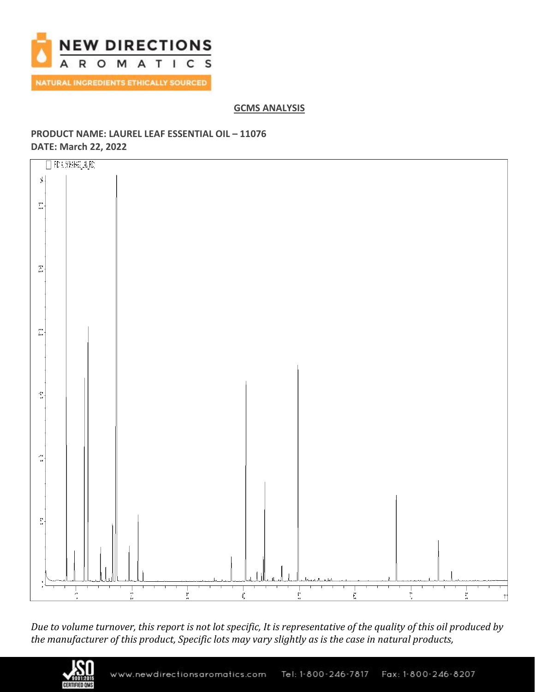

## **GCMS ANALYSIS**

# **PRODUCT NAME: LAUREL LEAF ESSENTIAL OIL – 11076 DATE: March 22, 2022**



*Due to volume turnover, this report is not lot specific, It is representative of the quality of this oil produced by the manufacturer of this product, Specific lots may vary slightly as is the case in natural products,*

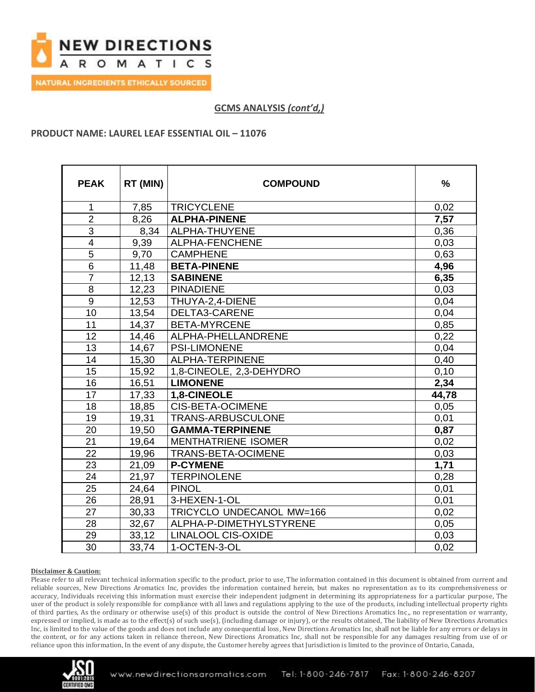

**GCMS ANALYSIS** *(cont'd,)*

### **PRODUCT NAME: LAUREL LEAF ESSENTIAL OIL – 11076**

| <b>PEAK</b>     | RT (MIN) | <b>COMPOUND</b>            | $\frac{9}{6}$ |
|-----------------|----------|----------------------------|---------------|
| 1               | 7,85     | <b>TRICYCLENE</b>          | 0,02          |
| $\overline{2}$  | 8,26     | <b>ALPHA-PINENE</b>        | 7,57          |
| $\overline{3}$  | 8,34     | ALPHA-THUYENE              | 0,36          |
| $\overline{4}$  | 9,39     | ALPHA-FENCHENE             | 0,03          |
| 5               | 9,70     | <b>CAMPHENE</b>            | 0,63          |
| $6\phantom{1}$  | 11,48    | <b>BETA-PINENE</b>         | 4,96          |
| $\overline{7}$  | 12, 13   | <b>SABINENE</b>            | 6,35          |
| 8               | 12,23    | <b>PINADIENE</b>           | 0,03          |
| 9               | 12,53    | THUYA-2,4-DIENE            | 0,04          |
| 10              | 13,54    | DELTA3-CARENE              | 0,04          |
| 11              | 14,37    | <b>BETA-MYRCENE</b>        | 0,85          |
| 12              | 14,46    | ALPHA-PHELLANDRENE         | 0,22          |
| 13              | 14,67    | <b>PSI-LIMONENE</b>        | 0,04          |
| 14              | 15,30    | ALPHA-TERPINENE            | 0,40          |
| 15              | 15,92    | 1,8-CINEOLE, 2,3-DEHYDRO   | 0,10          |
| 16              | 16,51    | <b>LIMONENE</b>            | 2,34          |
| $\overline{17}$ | 17,33    | 1,8-CINEOLE                | 44,78         |
| 18              | 18,85    | <b>CIS-BETA-OCIMENE</b>    | 0,05          |
| 19              | 19,31    | TRANS-ARBUSCULONE          | 0,01          |
| 20              | 19,50    | <b>GAMMA-TERPINENE</b>     | 0,87          |
| 21              | 19,64    | <b>MENTHATRIENE ISOMER</b> | 0,02          |
| 22              | 19,96    | <b>TRANS-BETA-OCIMENE</b>  | 0,03          |
| 23              | 21,09    | <b>P-CYMENE</b>            | 1,71          |
| 24              | 21,97    | <b>TERPINOLENE</b>         | 0,28          |
| 25              | 24,64    | <b>PINOL</b>               | 0,01          |
| 26              | 28,91    | 3-HEXEN-1-OL               | 0,01          |
| 27              | 30,33    | TRICYCLO UNDECANOL MW=166  | 0,02          |
| 28              | 32,67    | ALPHA-P-DIMETHYLSTYRENE    | 0,05          |
| 29              | 33,12    | <b>LINALOOL CIS-OXIDE</b>  | 0,03          |
| 30              | 33,74    | 1-OCTEN-3-OL               | 0,02          |

#### **Disclaimer & Caution:**

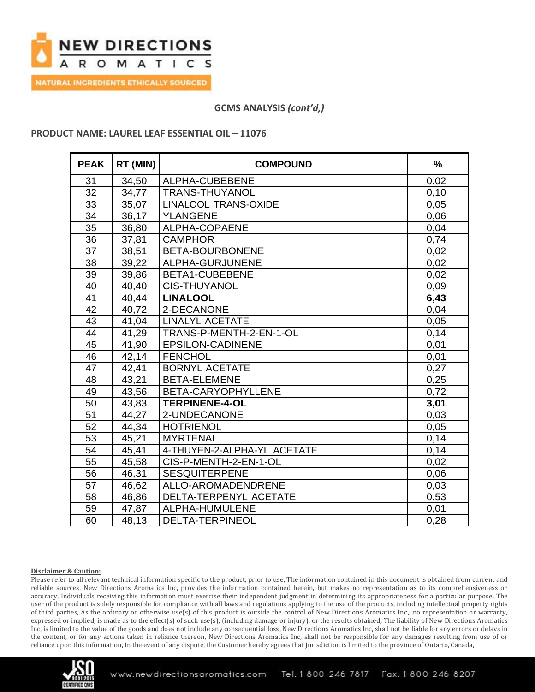

**NATURAL INGREDIENTS ETHICALLY SOURCED** 

## **GCMS ANALYSIS** *(cont'd,)*

### **PRODUCT NAME: LAUREL LEAF ESSENTIAL OIL – 11076**

| <b>PEAK</b> | RT (MIN) | <b>COMPOUND</b>             | $\frac{0}{0}$ |
|-------------|----------|-----------------------------|---------------|
| 31          | 34,50    | ALPHA-CUBEBENE              | 0,02          |
| 32          | 34,77    | <b>TRANS-THUYANOL</b>       | 0,10          |
| 33          | 35,07    | <b>LINALOOL TRANS-OXIDE</b> | 0,05          |
| 34          | 36,17    | <b>YLANGENE</b>             | 0,06          |
| 35          | 36,80    | ALPHA-COPAENE               | 0,04          |
| 36          | 37,81    | <b>CAMPHOR</b>              | 0,74          |
| 37          | 38,51    | BETA-BOURBONENE             | 0,02          |
| 38          | 39,22    | ALPHA-GURJUNENE             | 0,02          |
| 39          | 39,86    | <b>BETA1-CUBEBENE</b>       | 0,02          |
| 40          | 40,40    | <b>CIS-THUYANOL</b>         | 0,09          |
| 41          | 40,44    | <b>LINALOOL</b>             | 6,43          |
| 42          | 40,72    | 2-DECANONE                  | 0,04          |
| 43          | 41,04    | <b>LINALYL ACETATE</b>      | 0,05          |
| 44          | 41,29    | TRANS-P-MENTH-2-EN-1-OL     | 0,14          |
| 45          | 41,90    | <b>EPSILON-CADINENE</b>     | 0,01          |
| 46          | 42,14    | <b>FENCHOL</b>              | 0,01          |
| 47          | 42,41    | <b>BORNYL ACETATE</b>       | 0,27          |
| 48          | 43,21    | <b>BETA-ELEMENE</b>         | 0,25          |
| 49          | 43,56    | BETA-CARYOPHYLLENE          | 0,72          |
| 50          | 43,83    | <b>TERPINENE-4-OL</b>       | 3,01          |
| 51          | 44,27    | 2-UNDECANONE                | 0,03          |
| 52          | 44,34    | <b>HOTRIENOL</b>            | 0,05          |
| 53          | 45,21    | <b>MYRTENAL</b>             | 0,14          |
| 54          | 45,41    | 4-THUYEN-2-ALPHA-YL ACETATE | 0,14          |
| 55          | 45,58    | CIS-P-MENTH-2-EN-1-OL       | 0,02          |
| 56          | 46,31    | <b>SESQUITERPENE</b>        | 0,06          |
| 57          | 46,62    | ALLO-AROMADENDRENE          | 0,03          |
| 58          | 46,86    | DELTA-TERPENYL ACETATE      | 0,53          |
| 59          | 47,87    | ALPHA-HUMULENE              | 0,01          |
| 60          | 48,13    | DELTA-TERPINEOL             | 0,28          |

#### **Disclaimer & Caution:**

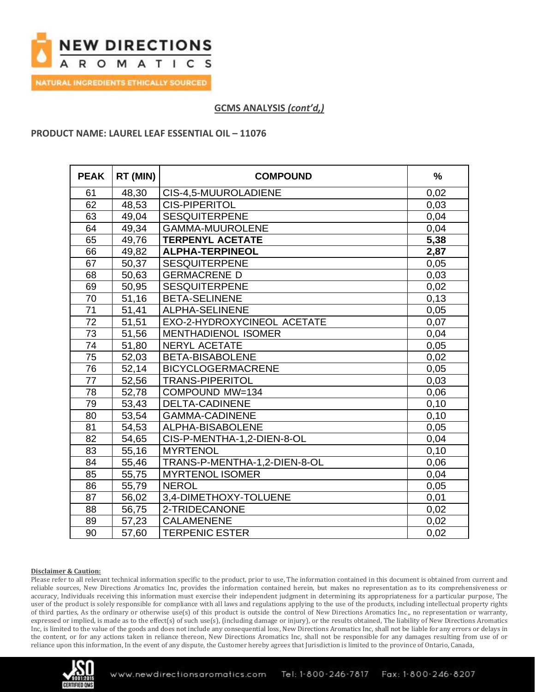

**NATURAL INGREDIENTS ETHICALLY SOURCED** 

## **GCMS ANALYSIS** *(cont'd,)*

#### **PRODUCT NAME: LAUREL LEAF ESSENTIAL OIL – 11076**

| <b>PEAK</b> | RT (MIN) | <b>COMPOUND</b>              | $\frac{0}{0}$ |
|-------------|----------|------------------------------|---------------|
| 61          | 48,30    | CIS-4,5-MUUROLADIENE         | 0,02          |
| 62          | 48,53    | <b>CIS-PIPERITOL</b>         | 0,03          |
| 63          | 49,04    | <b>SESQUITERPENE</b>         | 0,04          |
| 64          | 49,34    | <b>GAMMA-MUUROLENE</b>       | 0,04          |
| 65          | 49,76    | <b>TERPENYL ACETATE</b>      | 5,38          |
| 66          | 49,82    | <b>ALPHA-TERPINEOL</b>       | 2,87          |
| 67          | 50,37    | <b>SESQUITERPENE</b>         | 0,05          |
| 68          | 50,63    | <b>GERMACRENE D</b>          | 0,03          |
| 69          | 50,95    | <b>SESQUITERPENE</b>         | 0,02          |
| 70          | 51,16    | <b>BETA-SELINENE</b>         | 0,13          |
| 71          | 51,41    | ALPHA-SELINENE               | 0,05          |
| 72          | 51,51    | EXO-2-HYDROXYCINEOL ACETATE  | 0,07          |
| 73          | 51,56    | <b>MENTHADIENOL ISOMER</b>   | 0,04          |
| 74          | 51,80    | <b>NERYL ACETATE</b>         | 0,05          |
| 75          | 52,03    | <b>BETA-BISABOLENE</b>       | 0,02          |
| 76          | 52,14    | <b>BICYCLOGERMACRENE</b>     | 0,05          |
| 77          | 52,56    | <b>TRANS-PIPERITOL</b>       | 0,03          |
| 78          | 52,78    | COMPOUND MW=134              | 0,06          |
| 79          | 53,43    | <b>DELTA-CADINENE</b>        | 0,10          |
| 80          | 53,54    | <b>GAMMA-CADINENE</b>        | 0,10          |
| 81          | 54,53    | ALPHA-BISABOLENE             | 0,05          |
| 82          | 54,65    | CIS-P-MENTHA-1,2-DIEN-8-OL   | 0,04          |
| 83          | 55,16    | <b>MYRTENOL</b>              | 0,10          |
| 84          | 55,46    | TRANS-P-MENTHA-1,2-DIEN-8-OL | 0,06          |
| 85          | 55,75    | <b>MYRTENOL ISOMER</b>       | 0,04          |
| 86          | 55,79    | <b>NEROL</b>                 | 0,05          |
| 87          | 56,02    | 3,4-DIMETHOXY-TOLUENE        | 0,01          |
| 88          | 56,75    | 2-TRIDECANONE                | 0,02          |
| 89          | 57,23    | <b>CALAMENENE</b>            | 0,02          |
| 90          | 57,60    | <b>TERPENIC ESTER</b>        | 0,02          |

#### **Disclaimer & Caution:**